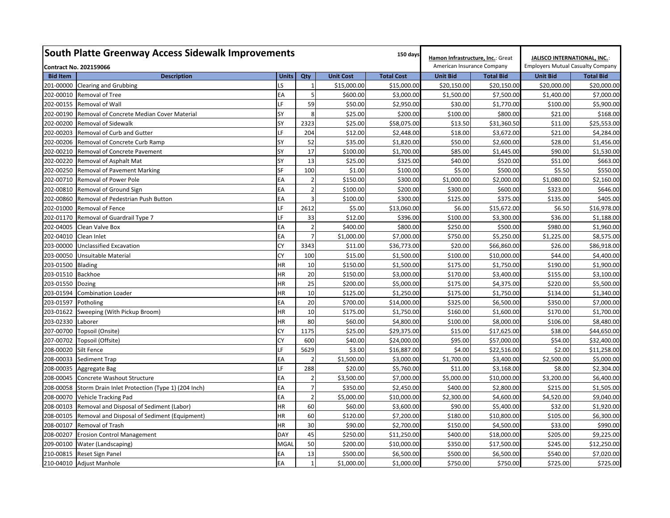| <b>South Platte Greenway Access Sidewalk Improvements</b>     | Hamon Infrastructure, Inc.: Great |                | JALISCO INTERNATIONAL, INC.: |                   |                 |                            |                 |                                          |  |
|---------------------------------------------------------------|-----------------------------------|----------------|------------------------------|-------------------|-----------------|----------------------------|-----------------|------------------------------------------|--|
| <b>Contract No. 202159066</b>                                 |                                   |                |                              |                   |                 | American Insurance Company |                 | <b>Employers Mutual Casualty Company</b> |  |
| <b>Bid Item</b><br><b>Description</b>                         | <b>Units</b>                      | Qty            | <b>Unit Cost</b>             | <b>Total Cost</b> | <b>Unit Bid</b> | <b>Total Bid</b>           | <b>Unit Bid</b> | <b>Total Bid</b>                         |  |
| 201-00000 Clearing and Grubbing                               | LS.                               | $\overline{1}$ | \$15,000.00                  | \$15,000.00       | \$20,150.00     | \$20,150.00                | \$20,000.00     | \$20,000.00                              |  |
| 202-00010<br>Removal of Tree                                  | EA                                | 5              | \$600.00                     | \$3,000.00        | \$1,500.00      | \$7,500.00                 | \$1,400.00      | \$7,000.00                               |  |
| 202-00155<br>Removal of Wall                                  | LF                                | 59             | \$50.00                      | \$2,950.00        | \$30.00         | \$1,770.00                 | \$100.00        | \$5,900.00                               |  |
| 202-00190 Removal of Concrete Median Cover Material           | SY                                | 8              | \$25.00                      | \$200.00          | \$100.00        | \$800.00                   | \$21.00         | \$168.00                                 |  |
| 202-00200<br>Removal of Sidewalk                              | SY                                | 2323           | \$25.00                      | \$58,075.00       | \$13.50         | \$31,360.50                | \$11.00         | \$25,553.00                              |  |
| 202-00203<br>Removal of Curb and Gutter                       | LF                                | 204            | \$12.00                      | \$2,448.00        | \$18.00         | \$3,672.00                 | \$21.00         | \$4,284.00                               |  |
| 202-00206<br>Removal of Concrete Curb Ramp                    | SY                                | 52             | \$35.00                      | \$1,820.00        | \$50.00         | \$2,600.00                 | \$28.00         | \$1,456.00                               |  |
| 202-00210<br>Removal of Concrete Pavement                     | SY                                | 17             | \$100.00                     | \$1,700.00        | \$85.00         | \$1,445.00                 | \$90.00         | \$1,530.00                               |  |
| 202-00220<br>Removal of Asphalt Mat                           | SY                                | 13             | \$25.00                      | \$325.00          | \$40.00         | \$520.00                   | \$51.00         | \$663.00                                 |  |
| 202-00250<br>Removal of Pavement Marking                      | SF                                | 100            | \$1.00                       | \$100.00          | \$5.00          | \$500.00                   | \$5.50          | \$550.00                                 |  |
| 202-00710<br>Removal of Power Pole                            | EA                                | $\overline{2}$ | \$150.00                     | \$300.00          | \$1,000.00      | \$2,000.00                 | \$1,080.00      | \$2,160.00                               |  |
| 202-00810<br>Removal of Ground Sign                           | EA                                |                | \$100.00                     | \$200.00          | \$300.00        | \$600.00                   | \$323.00        | \$646.00                                 |  |
| 202-00860<br>Removal of Pedestrian Push Button                | EA                                | 3              | \$100.00                     | \$300.00          | \$125.00        | \$375.00                   | \$135.00        | \$405.00                                 |  |
| 202-01000<br>Removal of Fence                                 | LF                                | 2612           | \$5.00                       | \$13,060.00       | \$6.00          | \$15,672.00                | \$6.50          | \$16,978.00                              |  |
| 202-01170<br>Removal of Guardrail Type 7                      | LF                                | 33             | \$12.00                      | \$396.00          | \$100.00        | \$3,300.00                 | \$36.00         | \$1,188.00                               |  |
| 202-04005<br>Clean Valve Box                                  | EA                                | $\overline{2}$ | \$400.00                     | \$800.00          | \$250.00        | \$500.00                   | \$980.00        | \$1,960.00                               |  |
| 202-04010 Clean Inlet                                         | EA                                |                | \$1,000.00                   | \$7,000.00        | \$750.00        | \$5,250.00                 | \$1,225.00      | \$8,575.00                               |  |
| 203-00000<br><b>Unclassified Excavation</b>                   | <b>CY</b>                         | 3343           | \$11.00                      | \$36,773.00       | \$20.00         | \$66,860.00                | \$26.00         | \$86,918.00                              |  |
| 203-00050<br>Unsuitable Material                              | <b>CY</b>                         | 100            | \$15.00                      | \$1,500.00        | \$100.00        | \$10,000.00                | \$44.00         | \$4,400.00                               |  |
| 203-01500<br><b>Blading</b>                                   | HR                                | 10             | \$150.00                     | \$1,500.00        | \$175.00        | \$1,750.00                 | \$190.00        | \$1,900.00                               |  |
| 203-01510<br><b>Backhoe</b>                                   | HR                                | 20             | \$150.00                     | \$3,000.00        | \$170.00        | \$3,400.00                 | \$155.00        | \$3,100.00                               |  |
| 203-01550<br>Dozing                                           | HR                                | 25             | \$200.00                     | \$5,000.00        | \$175.00        | \$4,375.00                 | \$220.00        | \$5,500.00                               |  |
| 203-01594<br><b>Combination Loader</b>                        | HR                                | 10             | \$125.00                     | \$1,250.00        | \$175.00        | \$1,750.00                 | \$134.00        | \$1,340.00                               |  |
| 203-01597<br>Potholing                                        | EA                                | 20             | \$700.00                     | \$14,000.00       | \$325.00        | \$6,500.00                 | \$350.00        | \$7,000.00                               |  |
| 203-01622<br>Sweeping (With Pickup Broom)                     | HR                                | 10             | \$175.00                     | \$1,750.00        | \$160.00        | \$1,600.00                 | \$170.00        | \$1,700.00                               |  |
| 203-02330 Laborer                                             | HR                                | 80             | \$60.00                      | \$4,800.00        | \$100.00        | \$8,000.00                 | \$106.00        | \$8,480.00                               |  |
| 207-00700<br>Topsoil (Onsite)                                 | <b>CY</b>                         | 1175           | \$25.00                      | \$29,375.00       | \$15.00         | \$17,625.00                | \$38.00         | \$44,650.00                              |  |
| 207-00702<br>Topsoil (Offsite)                                | <b>CY</b>                         | 600            | \$40.00                      | \$24,000.00       | \$95.00         | \$57,000.00                | \$54.00         | \$32,400.00                              |  |
| 208-00020<br><b>Silt Fence</b>                                | LF                                | 5629           | \$3.00                       | \$16,887.00       | \$4.00          | \$22,516.00                | \$2.00          | \$11,258.00                              |  |
| 208-00033<br><b>Sediment Trap</b>                             | EA                                | $\overline{2}$ | \$1,500.00                   | \$3,000.00        | \$1,700.00      | \$3,400.00                 | \$2,500.00      | \$5,000.00                               |  |
| 208-00035<br>Aggregate Bag                                    | LF                                | 288            | \$20.00                      | \$5,760.00        | \$11.00         | \$3,168.00                 | \$8.00          | \$2,304.00                               |  |
| 208-00045<br>Concrete Washout Structure                       | EA                                | $\overline{2}$ | \$3,500.00                   | \$7,000.00        | \$5,000.00      | \$10,000.00                | \$3,200.00      | \$6,400.00                               |  |
| 208-00058<br>Storm Drain Inlet Protection (Type 1) (204 Inch) | EA                                | $\overline{7}$ | \$350.00                     | \$2,450.00        | \$400.00        | \$2,800.00                 | \$215.00        | \$1,505.00                               |  |
| 208-00070<br>Vehicle Tracking Pad                             | EA                                | $\overline{2}$ | \$5,000.00                   | \$10,000.00       | \$2,300.00      | \$4,600.00                 | \$4,520.00      | \$9,040.00                               |  |
| 208-00103<br>Removal and Disposal of Sediment (Labor)         | HR                                | 60             | \$60.00                      | \$3,600.00        | \$90.00         | \$5,400.00                 | \$32.00         | \$1,920.00                               |  |
| 208-00105<br>Removal and Disposal of Sediment (Equipment)     | <b>HR</b>                         | 60             | \$120.00                     | \$7,200.00        | \$180.00        | \$10,800.00                | \$105.00        | \$6,300.00                               |  |
| 208-00107<br>Removal of Trash                                 | <b>HR</b>                         | 30             | \$90.00                      | \$2,700.00        | \$150.00        | \$4,500.00                 | \$33.00         | \$990.00                                 |  |
| 208-00207<br><b>Erosion Control Management</b>                | <b>DAY</b>                        | 45             | \$250.00                     | \$11,250.00       | \$400.00        | \$18,000.00                | \$205.00        | \$9,225.00                               |  |
| 209-00100<br>Water (Landscaping)                              | <b>MGAL</b>                       | 50             | \$200.00                     | \$10,000.00       | \$350.00        | \$17,500.00                | \$245.00        | \$12,250.00                              |  |
| 210-00815<br>Reset Sign Panel                                 | EA                                | 13             | \$500.00                     | \$6,500.00        | \$500.00        | \$6,500.00                 | \$540.00        | \$7,020.00                               |  |
| 210-04010 Adjust Manhole                                      | EA                                | $\mathbf{1}$   | \$1,000.00                   | \$1,000.00        | \$750.00        | \$750.00                   | \$725.00        | \$725.00                                 |  |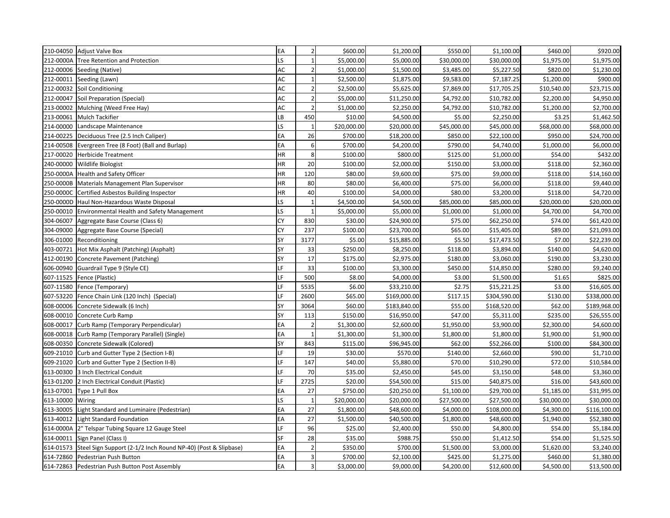| 210-04050 Adjust Valve Box                                                 | EA           | 2 <sup>1</sup> | \$600.00    | \$1,200.00   | \$550.00    | \$1,100.00   | \$460.00    | \$920.00     |
|----------------------------------------------------------------------------|--------------|----------------|-------------|--------------|-------------|--------------|-------------|--------------|
| 212-0000A<br><b>Tree Retention and Protection</b>                          | LS           | $\mathbf{1}$   | \$5,000.00  | \$5,000.00   | \$30,000.00 | \$30,000.00  | \$1,975.00  | \$1,975.00   |
| 212-00006<br>Seeding (Native)                                              | AC           | $\overline{2}$ | \$1,000.00  | \$1,500.00   | \$3,485.00  | \$5,227.50   | \$820.00    | \$1,230.00   |
| 212-00011 Seeding (Lawn)                                                   | AC           | $\mathbf{1}$   | \$2,500.00  | \$1,875.00   | \$9,583.00  | \$7,187.25   | \$1,200.00  | \$900.00     |
| 212-00032<br>Soil Conditioning                                             | AC           | $\overline{2}$ | \$2,500.00  | \$5,625.00   | \$7,869.00  | \$17,705.25  | \$10,540.00 | \$23,715.00  |
| 212-00047<br>Soil Preparation (Special)                                    | AC           | $\overline{2}$ | \$5,000.00  | \$11,250.00  | \$4,792.00  | \$10,782.00  | \$2,200.00  | \$4,950.00   |
| 213-00002<br>Mulching (Weed Free Hay)                                      | AC           | $\overline{2}$ | \$1,000.00  | \$2,250.00   | \$4,792.00  | \$10,782.00  | \$1,200.00  | \$2,700.00   |
| 213-00061<br><b>Mulch Tackifier</b>                                        | LB           | 450            | \$10.00     | \$4,500.00   | \$5.00      | \$2,250.00   | \$3.25      | \$1,462.50   |
| 214-00000<br>Landscape Maintenance                                         | LS.          | 1              | \$20,000.00 | \$20,000.00  | \$45,000.00 | \$45,000.00  | \$68,000.00 | \$68,000.00  |
| 214-00225<br>Deciduous Tree (2.5 Inch Caliper)                             | EA           | 26             | \$700.00    | \$18,200.00  | \$850.00    | \$22,100.00  | \$950.00    | \$24,700.00  |
| 214-00508<br>Evergreen Tree (8 Foot) (Ball and Burlap)                     | EA           | 6              | \$700.00    | \$4,200.00   | \$790.00    | \$4,740.00   | \$1,000.00  | \$6,000.00   |
| 217-00020<br><b>Herbicide Treatment</b>                                    | HR           | 8              | \$100.00    | \$800.00     | \$125.00    | \$1,000.00   | \$54.00     | \$432.00     |
| 240-00000<br><b>Wildlife Biologist</b>                                     | HR           | 20             | \$100.00    | \$2,000.00   | \$150.00    | \$3,000.00   | \$118.00    | \$2,360.00   |
| 250-0000A<br><b>Health and Safety Officer</b>                              | HR           | 120            | \$80.00     | \$9,600.00   | \$75.00     | \$9,000.00   | \$118.00    | \$14,160.00  |
| 250-0000B<br>Materials Management Plan Supervisor                          | HR           | 80             | \$80.00     | \$6,400.00   | \$75.00     | \$6,000.00   | \$118.00    | \$9,440.00   |
| 250-0000C<br>Certified Asbestos Building Inspector                         | HR           | 40             | \$100.00    | \$4,000.00   | \$80.00     | \$3,200.00   | \$118.00    | \$4,720.00   |
| 250-0000D<br>Haul Non-Hazardous Waste Disposal                             | LS.          | $\mathbf{1}$   | \$4,500.00  | \$4,500.00   | \$85,000.00 | \$85,000.00  | \$20,000.00 | \$20,000.00  |
| 250-00010<br><b>Environmental Health and Safety Management</b>             | LS.          | 1              | \$5,000.00  | \$5,000.00   | \$1,000.00  | \$1,000.00   | \$4,700.00  | \$4,700.00   |
| 304-06007<br>Aggregate Base Course (Class 6)                               | <b>CY</b>    | 830            | \$30.00     | \$24,900.00  | \$75.00     | \$62,250.00  | \$74.00     | \$61,420.00  |
| 304-09000<br>Aggregate Base Course (Special)                               | <b>CY</b>    | 237            | \$100.00    | \$23,700.00  | \$65.00     | \$15,405.00  | \$89.00     | \$21,093.00  |
| 306-01000<br>Reconditioning                                                | SY           | 3177           | \$5.00      | \$15,885.00  | \$5.50      | \$17,473.50  | \$7.00      | \$22,239.00  |
| 403-00721<br>Hot Mix Asphalt (Patching) (Asphalt)                          | SY           | 33             | \$250.00    | \$8,250.00   | \$118.00    | \$3,894.00   | \$140.00    | \$4,620.00   |
| 412-00190<br>Concrete Pavement (Patching)                                  | SY           | 17             | \$175.00    | \$2,975.00   | \$180.00    | \$3,060.00   | \$190.00    | \$3,230.00   |
| 606-00940<br>Guardrail Type 9 (Style CE)                                   | E            | 33             | \$100.00    | \$3,300.00   | \$450.00    | \$14,850.00  | \$280.00    | \$9,240.00   |
| 607-11525<br>Fence (Plastic)                                               | F.           | 500            | \$8.00      | \$4,000.00   | \$3.00      | \$1,500.00   | \$1.65      | \$825.00     |
| 607-11580<br>Fence (Temporary)                                             | LF           | 5535           | \$6.00      | \$33,210.00  | \$2.75      | \$15,221.25  | \$3.00      | \$16,605.00  |
| 607-53220<br>Fence Chain Link (120 Inch) (Special)                         | LF           | 2600           | \$65.00     | \$169,000.00 | \$117.15    | \$304,590.00 | \$130.00    | \$338,000.00 |
| 608-00006<br>Concrete Sidewalk (6 Inch)                                    | SY           | 3064           | \$60.00     | \$183,840.00 | \$55.00     | \$168,520.00 | \$62.00     | \$189,968.00 |
| 608-00010<br>Concrete Curb Ramp                                            | SY           | 113            | \$150.00    | \$16,950.00  | \$47.00     | \$5,311.00   | \$235.00    | \$26,555.00  |
| 608-00017<br>Curb Ramp (Temporary Perpendicular)                           | EA           | $\overline{2}$ | \$1,300.00  | \$2,600.00   | \$1,950.00  | \$3,900.00   | \$2,300.00  | \$4,600.00   |
| 608-00018<br>Curb Ramp (Temporary Parallel) (Single)                       | EА           | $\mathbf{1}$   | \$1,300.00  | \$1,300.00   | \$1,800.00  | \$1,800.00   | \$1,900.00  | \$1,900.00   |
| 608-00350<br>Concrete Sidewalk (Colored)                                   | SY           | 843            | \$115.00    | \$96,945.00  | \$62.00     | \$52,266.00  | \$100.00    | \$84,300.00  |
| 609-21010<br>Curb and Gutter Type 2 (Section I-B)                          | LF           | 19             | \$30.00     | \$570.00     | \$140.00    | \$2,660.00   | \$90.00     | \$1,710.00   |
| 609-21020<br>Curb and Gutter Type 2 (Section II-B)                         | IF.          | 147            | \$40.00     | \$5,880.00   | \$70.00     | \$10,290.00  | \$72.00     | \$10,584.00  |
| 613-00300<br>3 Inch Electrical Conduit                                     | LF           | 70             | \$35.00     | \$2,450.00   | \$45.00     | \$3,150.00   | \$48.00     | \$3,360.00   |
| 613-01200<br>2 Inch Electrical Conduit (Plastic)                           | LF           | 2725           | \$20.00     | \$54,500.00  | \$15.00     | \$40,875.00  | \$16.00     | \$43,600.00  |
| 613-07001<br>Type 1 Pull Box                                               | EA           | 27             | \$750.00    | \$20,250.00  | \$1,100.00  | \$29,700.00  | \$1,185.00  | \$31,995.00  |
| 613-10000<br>Wiring                                                        | $\mathsf{S}$ | $\mathbf 1$    | \$20,000.00 | \$20,000.00  | \$27,500.00 | \$27,500.00  | \$30,000.00 | \$30,000.00  |
| 613-30005<br>Light Standard and Luminaire (Pedestrian)                     | EA           | 27             | \$1,800.00  | \$48,600.00  | \$4,000.00  | \$108,000.00 | \$4,300.00  | \$116,100.00 |
| 613-40012<br>Light Standard Foundation                                     | EA           | 27             | \$1,500.00  | \$40,500.00  | \$1,800.00  | \$48,600.00  | \$1,940.00  | \$52,380.00  |
| 614-0000A<br>2" Telspar Tubing Square 12 Gauge Steel                       | LF           | 96             | \$25.00     | \$2,400.00   | \$50.00     | \$4,800.00   | \$54.00     | \$5,184.00   |
| 614-00011 Sign Panel (Class I)                                             | <b>SF</b>    | 28             | \$35.00     | \$988.75     | \$50.00     | \$1,412.50   | \$54.00     | \$1,525.50   |
| Steel Sign Support (2-1/2 Inch Round NP-40) (Post & Slipbase)<br>614-01573 | EA           | $\overline{2}$ | \$350.00    | \$700.00     | \$1,500.00  | \$3,000.00   | \$1,620.00  | \$3,240.00   |
| 614-72860<br>Pedestrian Push Button                                        | EA           | $\overline{3}$ | \$700.00    | \$2,100.00   | \$425.00    | \$1,275.00   | \$460.00    | \$1,380.00   |
| 614-72863 Pedestrian Push Button Post Assembly                             | EA           | $\overline{3}$ | \$3,000.00  | \$9,000.00   | \$4,200.00  | \$12,600.00  | \$4,500.00  | \$13,500.00  |